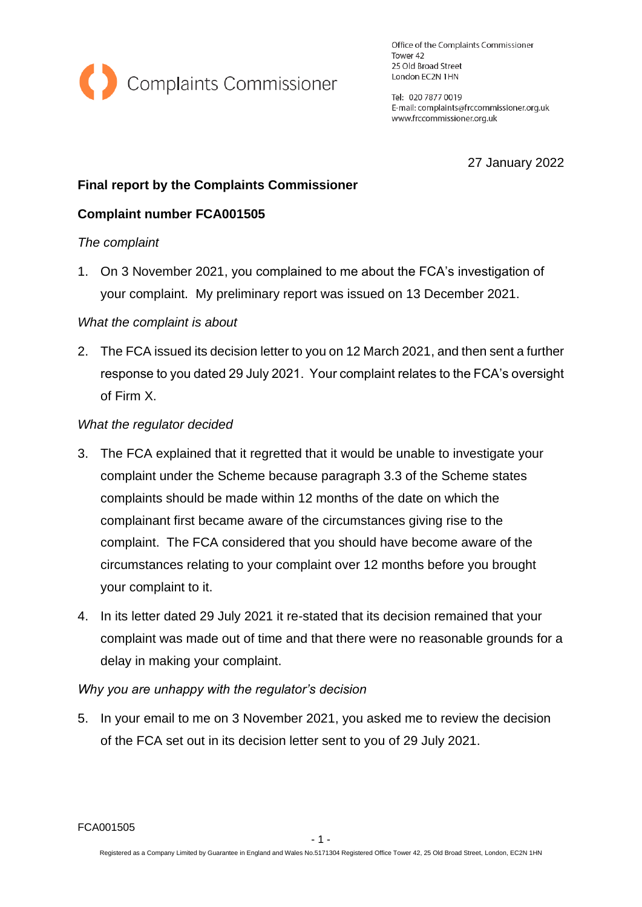

Office of the Complaints Commissioner Tower 42 25 Old Broad Street London EC2N 1HN

Tel: 020 7877 0019 E-mail: complaints@frccommissioner.org.uk www.frccommissioner.org.uk

27 January 2022

# **Final report by the Complaints Commissioner**

# **Complaint number FCA001505**

### *The complaint*

1. On 3 November 2021, you complained to me about the FCA's investigation of your complaint. My preliminary report was issued on 13 December 2021.

### *What the complaint is about*

2. The FCA issued its decision letter to you on 12 March 2021, and then sent a further response to you dated 29 July 2021. Your complaint relates to the FCA's oversight of Firm X.

### *What the regulator decided*

- 3. The FCA explained that it regretted that it would be unable to investigate your complaint under the Scheme because paragraph 3.3 of the Scheme states complaints should be made within 12 months of the date on which the complainant first became aware of the circumstances giving rise to the complaint. The FCA considered that you should have become aware of the circumstances relating to your complaint over 12 months before you brought your complaint to it.
- 4. In its letter dated 29 July 2021 it re-stated that its decision remained that your complaint was made out of time and that there were no reasonable grounds for a delay in making your complaint.

### *Why you are unhappy with the regulator's decision*

5. In your email to me on 3 November 2021, you asked me to review the decision of the FCA set out in its decision letter sent to you of 29 July 2021.

FCA001505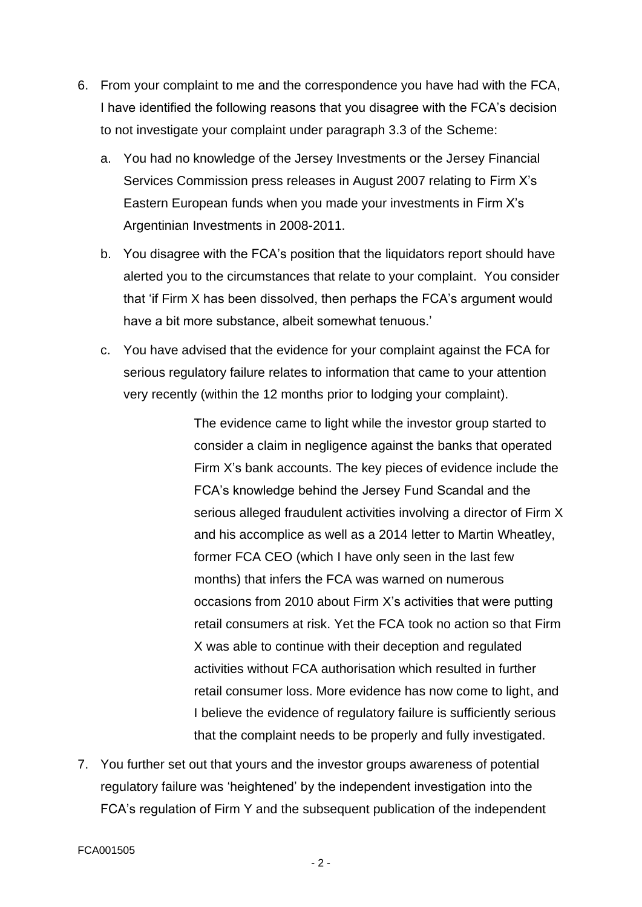- 6. From your complaint to me and the correspondence you have had with the FCA, I have identified the following reasons that you disagree with the FCA's decision to not investigate your complaint under paragraph 3.3 of the Scheme:
	- a. You had no knowledge of the Jersey Investments or the Jersey Financial Services Commission press releases in August 2007 relating to Firm X's Eastern European funds when you made your investments in Firm X's Argentinian Investments in 2008-2011.
	- b. You disagree with the FCA's position that the liquidators report should have alerted you to the circumstances that relate to your complaint. You consider that 'if Firm X has been dissolved, then perhaps the FCA's argument would have a bit more substance, albeit somewhat tenuous.'
	- c. You have advised that the evidence for your complaint against the FCA for serious regulatory failure relates to information that came to your attention very recently (within the 12 months prior to lodging your complaint).

The evidence came to light while the investor group started to consider a claim in negligence against the banks that operated Firm X's bank accounts. The key pieces of evidence include the FCA's knowledge behind the Jersey Fund Scandal and the serious alleged fraudulent activities involving a director of Firm X and his accomplice as well as a 2014 letter to Martin Wheatley, former FCA CEO (which I have only seen in the last few months) that infers the FCA was warned on numerous occasions from 2010 about Firm X's activities that were putting retail consumers at risk. Yet the FCA took no action so that Firm X was able to continue with their deception and regulated activities without FCA authorisation which resulted in further retail consumer loss. More evidence has now come to light, and I believe the evidence of regulatory failure is sufficiently serious that the complaint needs to be properly and fully investigated.

7. You further set out that yours and the investor groups awareness of potential regulatory failure was 'heightened' by the independent investigation into the FCA's regulation of Firm Y and the subsequent publication of the independent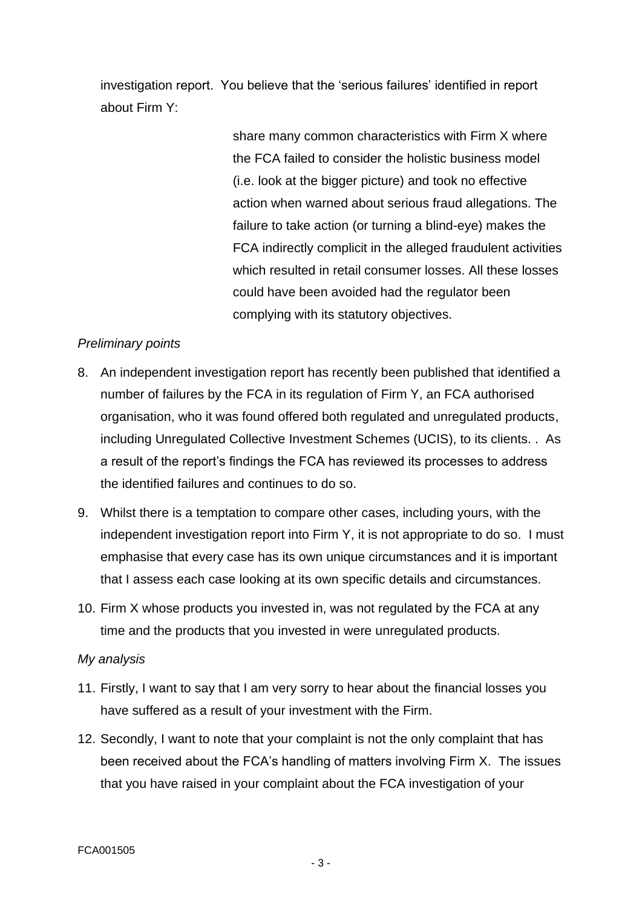investigation report. You believe that the 'serious failures' identified in report about Firm Y:

> share many common characteristics with Firm X where the FCA failed to consider the holistic business model (i.e. look at the bigger picture) and took no effective action when warned about serious fraud allegations. The failure to take action (or turning a blind-eye) makes the FCA indirectly complicit in the alleged fraudulent activities which resulted in retail consumer losses. All these losses could have been avoided had the regulator been complying with its statutory objectives.

## *Preliminary points*

- 8. An independent investigation report has recently been published that identified a number of failures by the FCA in its regulation of Firm Y, an FCA authorised organisation, who it was found offered both regulated and unregulated products, including Unregulated Collective Investment Schemes (UCIS), to its clients. . As a result of the report's findings the FCA has reviewed its processes to address the identified failures and continues to do so.
- 9. Whilst there is a temptation to compare other cases, including yours, with the independent investigation report into Firm Y, it is not appropriate to do so. I must emphasise that every case has its own unique circumstances and it is important that I assess each case looking at its own specific details and circumstances.
- 10. Firm X whose products you invested in, was not regulated by the FCA at any time and the products that you invested in were unregulated products.

### *My analysis*

- 11. Firstly, I want to say that I am very sorry to hear about the financial losses you have suffered as a result of your investment with the Firm.
- 12. Secondly, I want to note that your complaint is not the only complaint that has been received about the FCA's handling of matters involving Firm X. The issues that you have raised in your complaint about the FCA investigation of your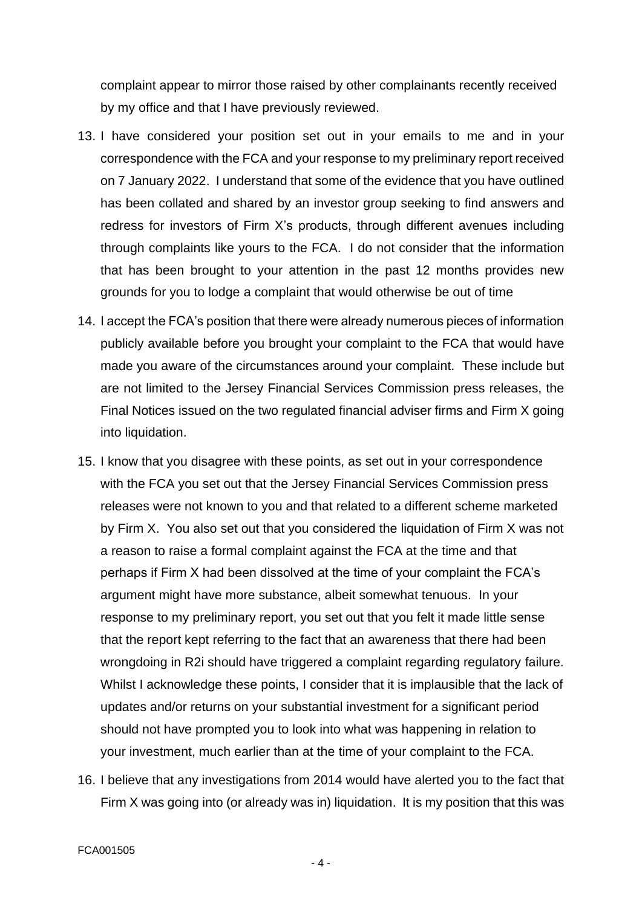complaint appear to mirror those raised by other complainants recently received by my office and that I have previously reviewed.

- 13. I have considered your position set out in your emails to me and in your correspondence with the FCA and your response to my preliminary report received on 7 January 2022. I understand that some of the evidence that you have outlined has been collated and shared by an investor group seeking to find answers and redress for investors of Firm X's products, through different avenues including through complaints like yours to the FCA. I do not consider that the information that has been brought to your attention in the past 12 months provides new grounds for you to lodge a complaint that would otherwise be out of time
- 14. I accept the FCA's position that there were already numerous pieces of information publicly available before you brought your complaint to the FCA that would have made you aware of the circumstances around your complaint. These include but are not limited to the Jersey Financial Services Commission press releases, the Final Notices issued on the two regulated financial adviser firms and Firm X going into liquidation.
- 15. I know that you disagree with these points, as set out in your correspondence with the FCA you set out that the Jersey Financial Services Commission press releases were not known to you and that related to a different scheme marketed by Firm X. You also set out that you considered the liquidation of Firm X was not a reason to raise a formal complaint against the FCA at the time and that perhaps if Firm X had been dissolved at the time of your complaint the FCA's argument might have more substance, albeit somewhat tenuous. In your response to my preliminary report, you set out that you felt it made little sense that the report kept referring to the fact that an awareness that there had been wrongdoing in R2i should have triggered a complaint regarding regulatory failure. Whilst I acknowledge these points, I consider that it is implausible that the lack of updates and/or returns on your substantial investment for a significant period should not have prompted you to look into what was happening in relation to your investment, much earlier than at the time of your complaint to the FCA.
- 16. I believe that any investigations from 2014 would have alerted you to the fact that Firm X was going into (or already was in) liquidation. It is my position that this was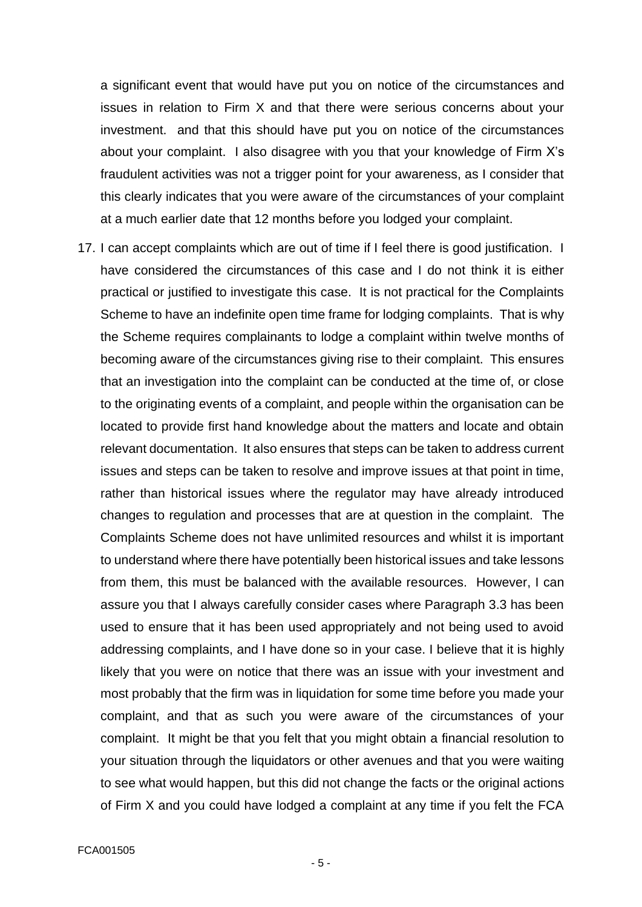a significant event that would have put you on notice of the circumstances and issues in relation to Firm X and that there were serious concerns about your investment. and that this should have put you on notice of the circumstances about your complaint. I also disagree with you that your knowledge of Firm X's fraudulent activities was not a trigger point for your awareness, as I consider that this clearly indicates that you were aware of the circumstances of your complaint at a much earlier date that 12 months before you lodged your complaint.

17. I can accept complaints which are out of time if I feel there is good justification. I have considered the circumstances of this case and I do not think it is either practical or justified to investigate this case. It is not practical for the Complaints Scheme to have an indefinite open time frame for lodging complaints. That is why the Scheme requires complainants to lodge a complaint within twelve months of becoming aware of the circumstances giving rise to their complaint. This ensures that an investigation into the complaint can be conducted at the time of, or close to the originating events of a complaint, and people within the organisation can be located to provide first hand knowledge about the matters and locate and obtain relevant documentation. It also ensures that steps can be taken to address current issues and steps can be taken to resolve and improve issues at that point in time, rather than historical issues where the regulator may have already introduced changes to regulation and processes that are at question in the complaint. The Complaints Scheme does not have unlimited resources and whilst it is important to understand where there have potentially been historical issues and take lessons from them, this must be balanced with the available resources. However, I can assure you that I always carefully consider cases where Paragraph 3.3 has been used to ensure that it has been used appropriately and not being used to avoid addressing complaints, and I have done so in your case. I believe that it is highly likely that you were on notice that there was an issue with your investment and most probably that the firm was in liquidation for some time before you made your complaint, and that as such you were aware of the circumstances of your complaint. It might be that you felt that you might obtain a financial resolution to your situation through the liquidators or other avenues and that you were waiting to see what would happen, but this did not change the facts or the original actions of Firm X and you could have lodged a complaint at any time if you felt the FCA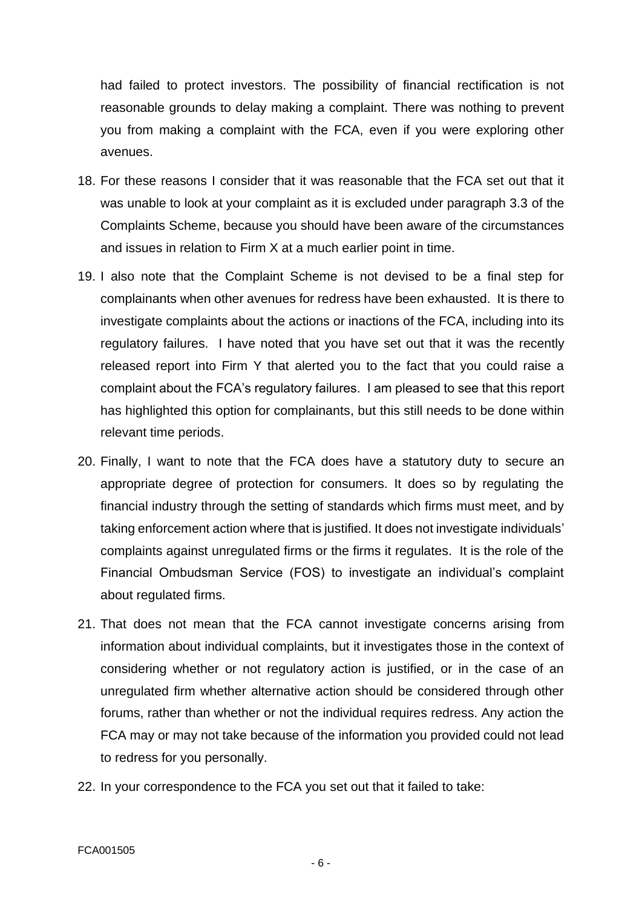had failed to protect investors. The possibility of financial rectification is not reasonable grounds to delay making a complaint. There was nothing to prevent you from making a complaint with the FCA, even if you were exploring other avenues.

- 18. For these reasons I consider that it was reasonable that the FCA set out that it was unable to look at your complaint as it is excluded under paragraph 3.3 of the Complaints Scheme, because you should have been aware of the circumstances and issues in relation to Firm X at a much earlier point in time.
- 19. I also note that the Complaint Scheme is not devised to be a final step for complainants when other avenues for redress have been exhausted. It is there to investigate complaints about the actions or inactions of the FCA, including into its regulatory failures. I have noted that you have set out that it was the recently released report into Firm Y that alerted you to the fact that you could raise a complaint about the FCA's regulatory failures. I am pleased to see that this report has highlighted this option for complainants, but this still needs to be done within relevant time periods.
- 20. Finally, I want to note that the FCA does have a statutory duty to secure an appropriate degree of protection for consumers. It does so by regulating the financial industry through the setting of standards which firms must meet, and by taking enforcement action where that is justified. It does not investigate individuals' complaints against unregulated firms or the firms it regulates. It is the role of the Financial Ombudsman Service (FOS) to investigate an individual's complaint about regulated firms.
- 21. That does not mean that the FCA cannot investigate concerns arising from information about individual complaints, but it investigates those in the context of considering whether or not regulatory action is justified, or in the case of an unregulated firm whether alternative action should be considered through other forums, rather than whether or not the individual requires redress. Any action the FCA may or may not take because of the information you provided could not lead to redress for you personally.
- 22. In your correspondence to the FCA you set out that it failed to take: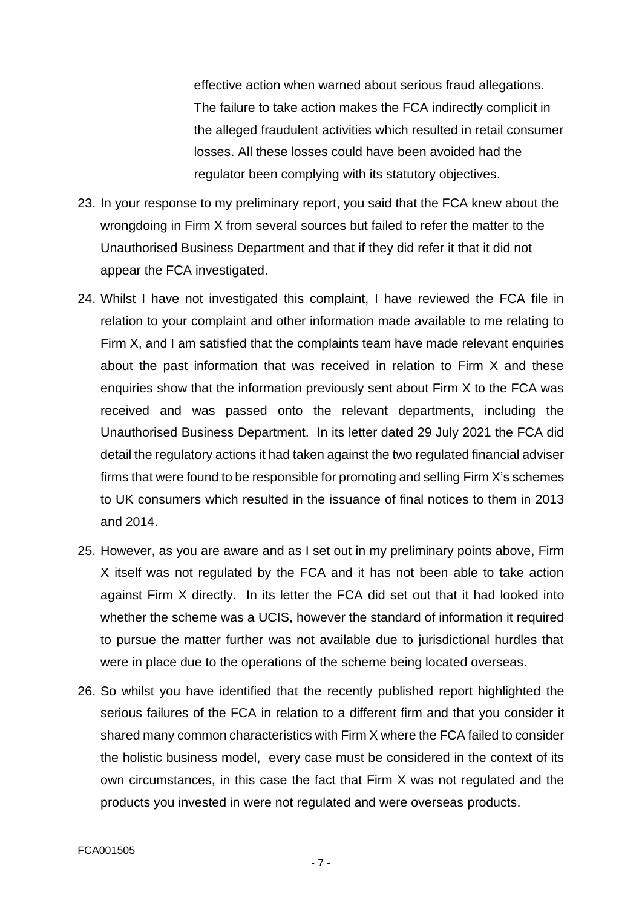effective action when warned about serious fraud allegations. The failure to take action makes the FCA indirectly complicit in the alleged fraudulent activities which resulted in retail consumer losses. All these losses could have been avoided had the regulator been complying with its statutory objectives.

- 23. In your response to my preliminary report, you said that the FCA knew about the wrongdoing in Firm X from several sources but failed to refer the matter to the Unauthorised Business Department and that if they did refer it that it did not appear the FCA investigated.
- 24. Whilst I have not investigated this complaint, I have reviewed the FCA file in relation to your complaint and other information made available to me relating to Firm X, and I am satisfied that the complaints team have made relevant enquiries about the past information that was received in relation to Firm X and these enquiries show that the information previously sent about Firm X to the FCA was received and was passed onto the relevant departments, including the Unauthorised Business Department. In its letter dated 29 July 2021 the FCA did detail the regulatory actions it had taken against the two regulated financial adviser firms that were found to be responsible for promoting and selling Firm X's schemes to UK consumers which resulted in the issuance of final notices to them in 2013 and 2014.
- 25. However, as you are aware and as I set out in my preliminary points above, Firm X itself was not regulated by the FCA and it has not been able to take action against Firm X directly. In its letter the FCA did set out that it had looked into whether the scheme was a UCIS, however the standard of information it required to pursue the matter further was not available due to jurisdictional hurdles that were in place due to the operations of the scheme being located overseas.
- 26. So whilst you have identified that the recently published report highlighted the serious failures of the FCA in relation to a different firm and that you consider it shared many common characteristics with Firm X where the FCA failed to consider the holistic business model, every case must be considered in the context of its own circumstances, in this case the fact that Firm X was not regulated and the products you invested in were not regulated and were overseas products.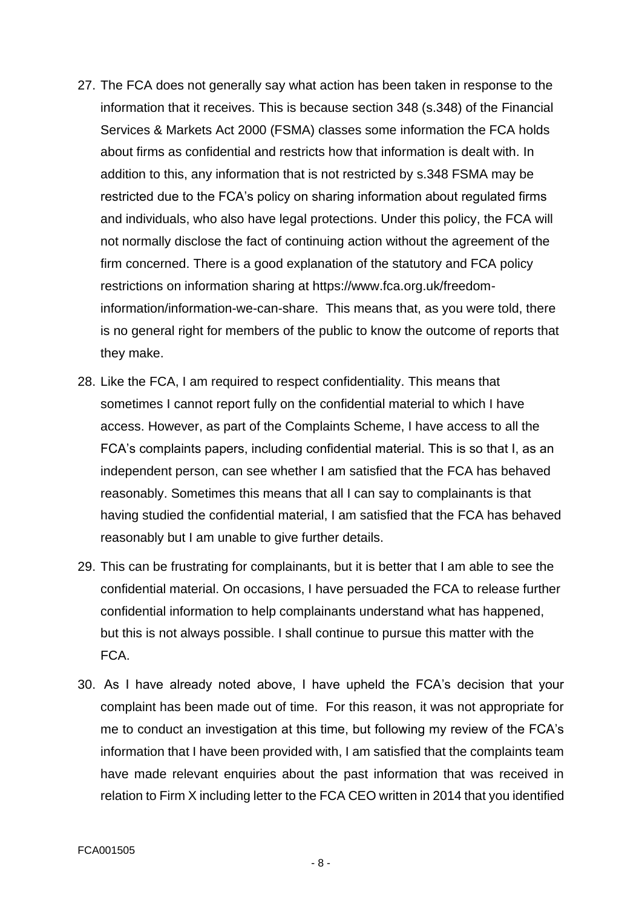- 27. The FCA does not generally say what action has been taken in response to the information that it receives. This is because section 348 (s.348) of the Financial Services & Markets Act 2000 (FSMA) classes some information the FCA holds about firms as confidential and restricts how that information is dealt with. In addition to this, any information that is not restricted by s.348 FSMA may be restricted due to the FCA's policy on sharing information about regulated firms and individuals, who also have legal protections. Under this policy, the FCA will not normally disclose the fact of continuing action without the agreement of the firm concerned. There is a good explanation of the statutory and FCA policy restrictions on information sharing at https://www.fca.org.uk/freedominformation/information-we-can-share. This means that, as you were told, there is no general right for members of the public to know the outcome of reports that they make.
- 28. Like the FCA, I am required to respect confidentiality. This means that sometimes I cannot report fully on the confidential material to which I have access. However, as part of the Complaints Scheme, I have access to all the FCA's complaints papers, including confidential material. This is so that I, as an independent person, can see whether I am satisfied that the FCA has behaved reasonably. Sometimes this means that all I can say to complainants is that having studied the confidential material, I am satisfied that the FCA has behaved reasonably but I am unable to give further details.
- 29. This can be frustrating for complainants, but it is better that I am able to see the confidential material. On occasions, I have persuaded the FCA to release further confidential information to help complainants understand what has happened, but this is not always possible. I shall continue to pursue this matter with the FCA.
- 30. As I have already noted above, I have upheld the FCA's decision that your complaint has been made out of time. For this reason, it was not appropriate for me to conduct an investigation at this time, but following my review of the FCA's information that I have been provided with, I am satisfied that the complaints team have made relevant enquiries about the past information that was received in relation to Firm X including letter to the FCA CEO written in 2014 that you identified